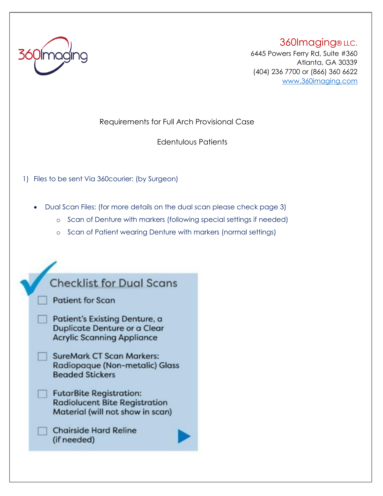

360Imaging® LLC. 6445 Powers Ferry Rd, Suite #360 Atlanta, GA 30339 (404) 236 7700 or (866) 360 6622 <www.360imaging.com>

Requirements for Full Arch Provisional Case

Edentulous Patients

1) Files to be sent Via 360courier: (by Surgeon)

• Dual Scan Files: (for more details on the dual scan please check page 3)

- o Scan of Denture with markers (following special settings if needed)
- o Scan of Patient wearing Denture with markers (normal settings)

| <b>Checklist for Dual Scans</b>                                                                                  |  |
|------------------------------------------------------------------------------------------------------------------|--|
| <b>Patient for Scan</b>                                                                                          |  |
| <b>Patient's Existing Denture, a</b><br><b>Duplicate Denture or a Clear</b><br><b>Acrylic Scanning Appliance</b> |  |
| <b>SureMark CT Scan Markers:</b><br>Radiopaque (Non-metalic) Glass<br><b>Beaded Stickers</b>                     |  |
| <b>FutarBite Registration:</b><br><b>Radiolucent Bite Registration</b><br>Material (will not show in scan)       |  |
| <b>Chairside Hard Reline</b><br>(if needed)                                                                      |  |
|                                                                                                                  |  |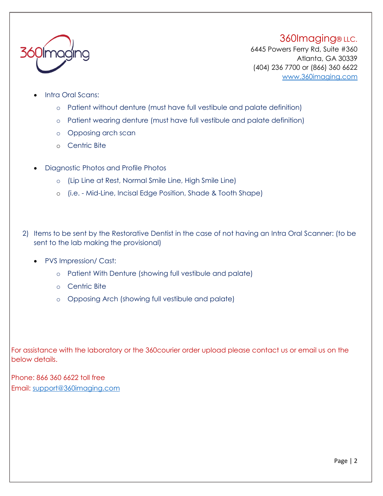#### 360Imaging® LLC.



6445 Powers Ferry Rd, Suite #360 Atlanta, GA 30339 (404) 236 7700 or (866) 360 6622 <www.360imaging.com>

- Intra Oral Scans:
	- o Patient without denture (must have full vestibule and palate definition)
	- o Patient wearing denture (must have full vestibule and palate definition)
	- o Opposing arch scan
	- o Centric Bite
- Diagnostic Photos and Profile Photos
	- o (Lip Line at Rest, Normal Smile Line, High Smile Line)
	- o (i.e. Mid-Line, Incisal Edge Position, Shade & Tooth Shape)
- 2) Items to be sent by the Restorative Dentist in the case of not having an Intra Oral Scanner: (to be sent to the lab making the provisional)
	- PVS Impression/ Cast:
		- o Patient With Denture (showing full vestibule and palate)
		- o Centric Bite
		- o Opposing Arch (showing full vestibule and palate)

For assistance with the laboratory or the 360courier order upload please contact us or email us on the below details.

Phone: 866 360 6622 toll free Email: support@360imaging.com